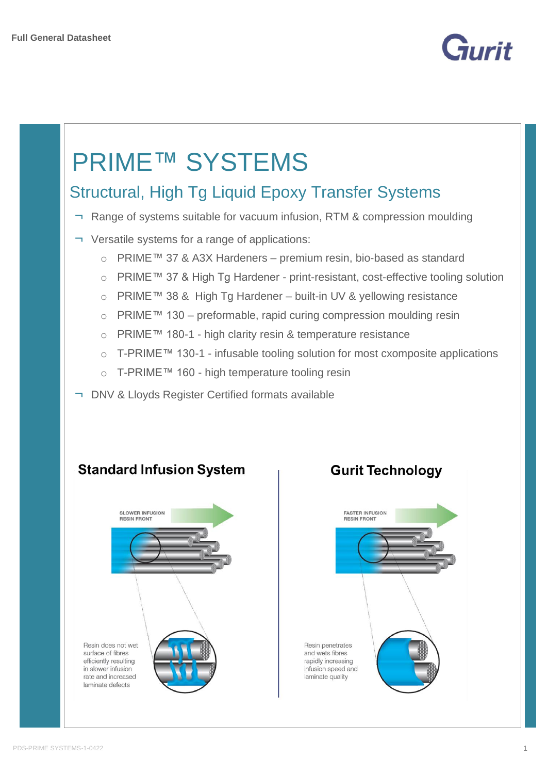

# PRIME™ SYSTEMS

## Structural, High Tg Liquid Epoxy Transfer Systems

- ¬ Range of systems suitable for vacuum infusion, RTM & compression moulding
- ¬ Versatile systems for a range of applications:
	- o PRIME™ 37 & A3X Hardeners premium resin, bio-based as standard
	- o PRIME™ 37 & High Tg Hardener print-resistant, cost-effective tooling solution
	- o PRIME™ 38 & High Tg Hardener built-in UV & yellowing resistance
	- o PRIME™ 130 preformable, rapid curing compression moulding resin
	- o PRIME™ 180-1 high clarity resin & temperature resistance
	- o T-PRIME™ 130-1 infusable tooling solution for most cxomposite applications
	- o T-PRIME™ 160 high temperature tooling resin
- ¬ DNV & Lloyds Register Certified formats available



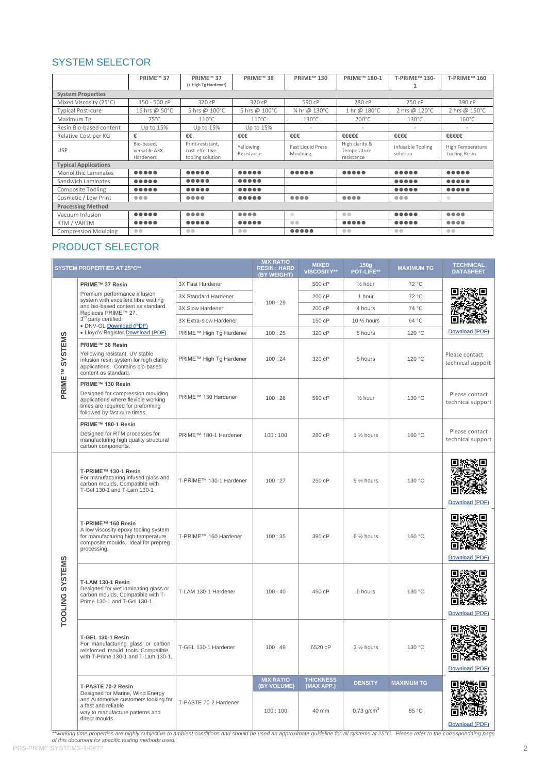## SYSTEM SELECTOR

|                             | PRIME™ 37                                                                                                          | PRIME™ 37<br>(+ High Tg Hardener)                                                                                  | PRIME™ 38                                                                                                          | <b>PRIME™130</b>                                                                                                   | PRIME™ 180-1                                                                                                       | T-PRIME™ 130-                                                                                                      | T-PRIME™ 160                                                                                                       |
|-----------------------------|--------------------------------------------------------------------------------------------------------------------|--------------------------------------------------------------------------------------------------------------------|--------------------------------------------------------------------------------------------------------------------|--------------------------------------------------------------------------------------------------------------------|--------------------------------------------------------------------------------------------------------------------|--------------------------------------------------------------------------------------------------------------------|--------------------------------------------------------------------------------------------------------------------|
| <b>System Properties</b>    |                                                                                                                    |                                                                                                                    |                                                                                                                    |                                                                                                                    |                                                                                                                    |                                                                                                                    |                                                                                                                    |
| Mixed Viscosity (25°C)      | 150 - 500 cP                                                                                                       | 320 cP                                                                                                             | 320 cP                                                                                                             | 590 cP                                                                                                             | 280 cP                                                                                                             | 250 cP                                                                                                             | 390 cP                                                                                                             |
| <b>Typical Post-cure</b>    | 16 hrs @ 50°C                                                                                                      | 5 hrs @ 100°C                                                                                                      | 5 hrs @ 100°C                                                                                                      | 1/4 hr @ 130°C                                                                                                     | 1 hr @ 180°C                                                                                                       | 2 hrs @ 120°C                                                                                                      | 2 hrs @ 150°C                                                                                                      |
| Maximum Tg                  | $75^{\circ}$ C                                                                                                     | $110^{\circ}$ C                                                                                                    | $110^{\circ}$ C                                                                                                    | $130^{\circ}$ C                                                                                                    | $200^{\circ}$ C                                                                                                    | $130^{\circ}$ C                                                                                                    | $160^{\circ}$ C                                                                                                    |
| Resin Bio-based content     | Up to 15%                                                                                                          | Up to 15%                                                                                                          | Up to 15%                                                                                                          |                                                                                                                    |                                                                                                                    |                                                                                                                    |                                                                                                                    |
| Relative Cost per KG        | €                                                                                                                  | €€                                                                                                                 | €€€                                                                                                                | €€€                                                                                                                | €€€€€                                                                                                              | €€€€                                                                                                               | €€€€€                                                                                                              |
| <b>USP</b>                  | Bio-based.<br>versatile A3X<br>Hardeners                                                                           | Print-resistant,<br>cost-effective<br>tooling solution                                                             | Yellowing<br>Resistance                                                                                            | Fast Liquid Press<br>Moulding                                                                                      | High clarity &<br>Temperature<br>resistance                                                                        | Infusable Tooling<br>solution                                                                                      | High Temperature<br><b>Tooling Resin</b>                                                                           |
| <b>Typical Applications</b> |                                                                                                                    |                                                                                                                    |                                                                                                                    |                                                                                                                    |                                                                                                                    |                                                                                                                    |                                                                                                                    |
| <b>Monolithic Laminates</b> |                                                                                                                    | $\begin{array}{ccccccccccccccccc} \bullet & \bullet & \bullet & \bullet & \bullet & \bullet & \bullet \end{array}$ | $\begin{array}{ccccccccccccccccc} \bullet & \bullet & \bullet & \bullet & \bullet & \bullet & \bullet \end{array}$ |                                                                                                                    | $\begin{array}{ccccccccccccccccc} \bullet & \bullet & \bullet & \bullet & \bullet & \bullet & \bullet \end{array}$ | $\begin{array}{ccccccccccccccccc} \bullet & \bullet & \bullet & \bullet & \bullet & \bullet & \bullet \end{array}$ | $\begin{array}{ccccccccccccccccc} \bullet & \bullet & \bullet & \bullet & \bullet & \bullet & \bullet \end{array}$ |
| Sandwich Laminates          |                                                                                                                    |                                                                                                                    | $\begin{array}{ccccccccccccccccc} \bullet & \bullet & \bullet & \bullet & \bullet & \bullet & \bullet \end{array}$ |                                                                                                                    |                                                                                                                    |                                                                                                                    |                                                                                                                    |
| <b>Composite Tooling</b>    |                                                                                                                    |                                                                                                                    | $\begin{array}{cccccccccccccc} \bullet & \bullet & \bullet & \bullet & \bullet & \bullet & \bullet \end{array}$    |                                                                                                                    |                                                                                                                    |                                                                                                                    | $\begin{array}{ccccccccccccccccc} \bullet & \bullet & \bullet & \bullet & \bullet & \bullet & \bullet \end{array}$ |
| Cosmetic / Low Print        | $\begin{array}{ccccc}\n\bullet & \bullet & \bullet & \bullet & \bullet\n\end{array}$                               | $\bullet\bullet\bullet\bullet$                                                                                     | $\begin{array}{ccccccccccccccccc} \bullet & \bullet & \bullet & \bullet & \bullet & \bullet & \bullet \end{array}$ | $\begin{array}{cccccccccccccc} \bullet & \bullet & \bullet & \bullet & \bullet \end{array}$                        | $\begin{array}{cccccccccccccc} \bullet & \bullet & \bullet & \bullet & \bullet \end{array}$                        | $\bullet\bullet\bullet$                                                                                            | $\qquad \qquad \bullet$                                                                                            |
| <b>Processing Method</b>    |                                                                                                                    |                                                                                                                    |                                                                                                                    |                                                                                                                    |                                                                                                                    |                                                                                                                    |                                                                                                                    |
| Vacuum Infusion             | $\begin{array}{ccccccccccccccccc} \bullet & \bullet & \bullet & \bullet & \bullet & \bullet & \bullet \end{array}$ | $\bullet\bullet\bullet\bullet$                                                                                     | $\bullet\bullet\bullet\bullet$                                                                                     | $\qquad \qquad \Box$                                                                                               | $\bullet\bullet$                                                                                                   |                                                                                                                    | $\bullet\bullet\bullet\bullet$                                                                                     |
| RTM / VARTM                 |                                                                                                                    |                                                                                                                    | $\begin{array}{ccccccccccccccccc} \bullet & \bullet & \bullet & \bullet & \bullet & \bullet & \bullet \end{array}$ | $\bullet$                                                                                                          |                                                                                                                    |                                                                                                                    | $\begin{array}{cccccccccccccc} \bullet & \bullet & \bullet & \bullet & \bullet \end{array}$                        |
| <b>Compression Moulding</b> | $\bullet\bullet$                                                                                                   | $\bullet$                                                                                                          | $\bullet$                                                                                                          | $\begin{array}{ccccccccccccccccc} \bullet & \bullet & \bullet & \bullet & \bullet & \bullet & \bullet \end{array}$ | $\bullet\bullet$                                                                                                   | $\bullet$                                                                                                          | $\bullet\bullet$                                                                                                   |

## PRODUCT SELECTOR

| <b>SYSTEM PROPERTIES AT 25°C**</b> |                                                                                                                                                                   |                         | <b>MIX RATIO</b><br><b>RESIN: HARD</b><br>(BY WEIGHT) | <b>MIXED</b><br><b>VISCOSITY**</b> | 150q<br><b>POT-LIFE**</b> | <b>MAXIMUM TG</b> | <b>TECHNICAL</b><br><b>DATASHEET</b> |
|------------------------------------|-------------------------------------------------------------------------------------------------------------------------------------------------------------------|-------------------------|-------------------------------------------------------|------------------------------------|---------------------------|-------------------|--------------------------------------|
|                                    | PRIME™ 37 Resin                                                                                                                                                   | 3X Fast Hardener        |                                                       | 500 cP                             | 1/ <sub>2</sub> hour      | 72 °C             |                                      |
|                                    | Premium performance infusion<br>system with excellent fibre wetting                                                                                               | 3X Standard Hardener    | 100:29                                                | 200 cP                             | 1 hour                    | 72 °C             |                                      |
|                                    | and bio-based content as standard.<br>Replaces PRIME™ 27.                                                                                                         | 3X Slow Hardener        |                                                       | 200 cP                             | 4 hours                   | 74 °C             |                                      |
|                                    | 3 <sup>rd</sup> party certified:                                                                                                                                  | 3X Extra-slow Hardener  |                                                       | 150 cP                             | 10 1/2 hours              | 64 °C             |                                      |
|                                    | · DNV-GL Download (PDF)<br>· Lloyd's Register Download (PDF)                                                                                                      | PRIME™ High Tg Hardener | 100:25                                                | 320 cP                             | 5 hours                   | 120 °C            | Download (PDF)                       |
| PRIME <sup>TM</sup> SYSTEMS        | PRIME™ 38 Resin<br>Yellowing resistant, UV stable<br>infusion resin system for high clarity<br>applications. Contains bio-based<br>content as standard.           | PRIME™ High Tg Hardener | 100:24                                                | 320 cP                             | 5 hours                   | 120 °C            | Please contact<br>technical support  |
|                                    | PRIME™ 130 Resin<br>Designed for compression moulding<br>applications where flexible working<br>times are required for preforming<br>followed by fast cure times. | PRIME™ 130 Hardener     | 100:26                                                | 590 cP                             | $\frac{1}{2}$ hour        | 130 °C            | Please contact<br>technical support  |
|                                    | PRIME™ 180-1 Resin<br>Designed for RTM processes for<br>manufacturing high quality structural<br>carbon components.                                               | PRIME™ 180-1 Hardener   | 100:100                                               | 280 cP                             | 1 1/ <sub>2</sub> hours   | 160 °C            | Please contact<br>technical support  |
| TOOLING SYSTEMS                    | T-PRIME™ 130-1 Resin<br>For manufacturing infused glass and<br>carbon moulds. Compatible with<br>T-Gel 130-1 and T-Lam 130-1                                      | T-PRIME™ 130-1 Hardener | 100:27                                                | 250 cP                             | 5 1/2 hours               | 130 °C            | Download (PDF)                       |
|                                    | T-PRIME™ 160 Resin<br>A low viscosity epoxy tooling system<br>for manufacturing high temperature<br>composite moulds. Ideal for prepreg<br>processing.            | T-PRIME™ 160 Hardener   | 100:35                                                | 390 cP                             | 6 1/2 hours               | 160 °C            | Tiv PIT<br>Download (PDF)            |
|                                    | T-LAM 130-1 Resin<br>Designed for wet laminating glass or<br>carbon moulds. Compatible with T-<br>Prime 130-1 and T-Gel 130-1.                                    | T-LAM 130-1 Hardener    | 100:40                                                | 450 cP                             | 6 hours                   | 130 °C            | Download (PDF)                       |
|                                    | T-GEL 130-1 Resin<br>For manufacturing glass or carbon<br>reinforced mould tools. Compatible<br>with T-Prime 130-1 and T-Lam 130-1.                               | T-GEL 130-1 Hardener    | 100:49                                                | 6520 cP                            | 3 1/2 hours               | 130 °C            | Download (PDF)                       |
|                                    | T-PASTE 70-2 Resin                                                                                                                                                |                         | <b>MIX RATIO</b><br>(BY VOLUME)                       | <b>THICKNESS</b><br>(MAX APP.)     | <b>DENSITY</b>            | <b>MAXIMUM TG</b> |                                      |
|                                    | Designed for Marine, Wind Energy<br>and Automotive customers looking for<br>a fast and reliable<br>way to manufacture patterns and<br>direct moulds               | T-PASTE 70-2 Hardener   | 100:100                                               | 40 mm                              | $0.73$ g/cm <sup>3</sup>  | 85 °C             | Download (PDF)                       |

\*\*working time properties are highly subjective to ambient conditions and should be used an approximate guideline for all systems at 25°C. Please refer to the correspondaing page<br>of this document for specific testing metho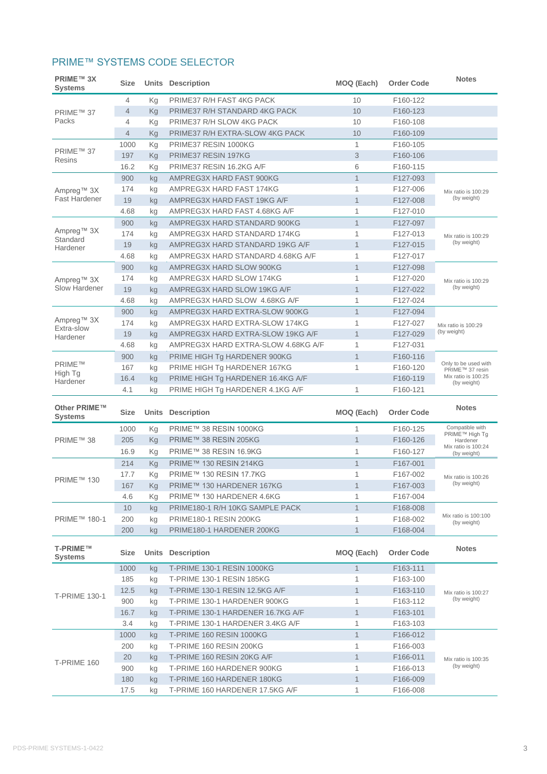## PRIME™ SYSTEMS CODE SELECTOR

| Kg<br>PRIME37 R/H FAST 4KG PACK<br>10<br>4                                               |                                         | <b>Notes</b><br><b>Order Code</b> |
|------------------------------------------------------------------------------------------|-----------------------------------------|-----------------------------------|
|                                                                                          |                                         | F160-122                          |
| 10<br>$\overline{4}$<br>Kg<br>PRIME37 R/H STANDARD 4KG PACK<br>PRIME™ 37                 |                                         | F160-123                          |
| Packs<br>4<br>PRIME37 R/H SLOW 4KG PACK<br>10<br>Кg                                      |                                         | F160-108                          |
| PRIME37 R/H EXTRA-SLOW 4KG PACK<br>10<br>4<br>Kg                                         |                                         | F160-109                          |
| $\mathbf{1}$<br>1000<br>PRIME37 RESIN 1000KG<br>Кg                                       |                                         | F160-105                          |
| PRIME™ 37<br>3<br>197<br>PRIME37 RESIN 197KG<br>Kg<br>Resins                             |                                         | F160-106                          |
| 6<br>16.2<br>PRIME37 RESIN 16.2KG A/F<br>Κg                                              |                                         | F160-115                          |
| $\mathbf{1}$<br>AMPREG3X HARD FAST 900KG<br>900<br>kg                                    |                                         | F127-093                          |
| $\mathbf{1}$<br>174<br>AMPREG3X HARD FAST 174KG<br>kg<br>Ampreg <sup>™</sup> 3X          | Mix ratio is 100:29                     | F127-006                          |
| Fast Hardener<br>$\mathbf{1}$<br>19<br>AMPREG3X HARD FAST 19KG A/F<br>kg                 | (by weight)                             | F127-008                          |
| 4.68<br>AMPREG3X HARD FAST 4.68KG A/F<br>1<br>kg                                         |                                         | F127-010                          |
| $\mathbf{1}$<br>900<br>AMPREG3X HARD STANDARD 900KG<br>kg                                |                                         | F127-097                          |
| Ampreg™ 3X<br>174<br>AMPREG3X HARD STANDARD 174KG<br>$\mathbf{1}$<br>kg<br>Standard      | Mix ratio is 100:29                     | F127-013                          |
| 19<br>AMPREG3X HARD STANDARD 19KG A/F<br>$\mathbf{1}$<br>kg<br>Hardener                  | (by weight)                             | F127-015                          |
| $\mathbf{1}$<br>4.68<br>AMPREG3X HARD STANDARD 4.68KG A/F<br>kg                          |                                         | F127-017                          |
| $\mathbf{1}$<br>900<br>AMPREG3X HARD SLOW 900KG<br>kg                                    |                                         | F127-098                          |
| $\mathbf{1}$<br>174<br>AMPREG3X HARD SLOW 174KG<br>kg<br>Ampreg™ 3X                      | Mix ratio is 100:29                     | F127-020                          |
| Slow Hardener<br>$\mathbf{1}$<br>19<br>AMPREG3X HARD SLOW 19KG A/F<br>kg                 | (by weight)                             | F127-022                          |
| $\mathbf{1}$<br>4.68<br>AMPREG3X HARD SLOW 4.68KG A/F<br>kg                              |                                         | F127-024                          |
| $\mathbf{1}$<br>AMPREG3X HARD EXTRA-SLOW 900KG<br>900<br>kg                              |                                         | F127-094                          |
| Ampreg <sup>™</sup> 3X<br>1<br>174<br>AMPREG3X HARD EXTRA-SLOW 174KG<br>kg<br>Extra-slow | Mix ratio is 100:29                     | F127-027                          |
| $\mathbf{1}$<br>19<br>AMPREG3X HARD EXTRA-SLOW 19KG A/F<br>kg<br>Hardener                | (by weight)                             | F127-029                          |
| $\mathbf{1}$<br>4.68<br>AMPREG3X HARD EXTRA-SLOW 4.68KG A/F<br>kg                        |                                         | F127-031                          |
| $\mathbf{1}$<br>900<br>PRIME HIGH Tg HARDENER 900KG<br>kg                                |                                         | F160-116                          |
| <b>PRIME™</b><br>1<br>167<br>PRIME HIGH Tg HARDENER 167KG<br>kg<br>High Tg               | Only to be used with<br>PRIME™ 37 resin | F160-120                          |
| 16.4<br>PRIME HIGH Tg HARDENER 16.4KG A/F<br>kg<br>Hardener                              | Mix ratio is 100:25<br>(by weight)      | F160-119                          |
| 4.1<br>1<br>PRIME HIGH Tg HARDENER 4.1KG A/F<br>kg                                       |                                         | F160-121                          |
| Other PRIME™<br><b>Units Description</b><br>MOQ (Each)<br><b>Size</b><br>Systems         | <b>Notes</b>                            | <b>Order Code</b>                 |
| $\mathbf{1}$<br>PRIME™ 38 RESIN 1000KG<br>1000<br>Kg                                     | Compatible with<br>PRIME™ High Tg       | F160-125                          |
| $\mathbf{1}$<br>205<br>PRIME™ 38 RESIN 205KG<br>Kg<br>PRIME™ 38                          | Hardener<br>Mix ratio is 100:24         | F160-126                          |
| $\mathbf{1}$<br>PRIME™ 38 RESIN 16.9KG<br>16.9<br>Kg                                     | (by weight)                             | F160-127                          |
| $\mathbf{1}$<br>PRIME™ 130 RESIN 214KG<br>214<br>Kg                                      |                                         | F167-001                          |
| PRIME™ 130 RESIN 17.7KG<br>$\mathbf{1}$<br>17.7<br>Kg<br>PRIME™ 130                      | Mix ratio is 100:26                     | F167-002                          |
| 167<br>PRIME™ 130 HARDENER 167KG<br>$\mathbf{1}$<br>Κg                                   | (by weight)                             | F167-003                          |
| 1<br>4.6<br>PRIME™ 130 HARDENER 4.6KG<br>Κg                                              |                                         | F167-004                          |
| 10<br>PRIME180-1 R/H 10KG SAMPLE PACK<br>$\mathbf{1}$<br>kg                              |                                         | F168-008                          |
| PRIME™ 180-1<br>200<br><b>PRIME180-1 RESIN 200KG</b><br>1<br>kg                          | Mix ratio is 100:100<br>(by weight)     | F168-002                          |
| 200<br>PRIME180-1 HARDENER 200KG<br>$\mathbf{1}$<br>kg                                   |                                         | F168-004                          |
| T-PRIME™<br><b>Units Description</b><br>MOQ (Each)<br><b>Size</b><br><b>Systems</b>      | <b>Notes</b>                            | <b>Order Code</b>                 |
| <b>T-PRIME 130-1 RESIN 1000KG</b><br>$\mathbf{1}$<br>1000<br>kg                          |                                         | F163-111                          |
| 185<br><b>T-PRIME 130-1 RESIN 185KG</b><br>1<br>kg                                       |                                         | F163-100                          |
|                                                                                          | Mix ratio is 100:27                     | F163-110                          |
| 12.5<br>T-PRIME 130-1 RESIN 12.5KG A/F<br>$\mathbf{1}$<br>kg                             |                                         | F163-112                          |
| <b>T-PRIME 130-1</b><br>T-PRIME 130-1 HARDENER 900KG<br>1<br>900<br>kg                   | (by weight)                             | F163-101                          |
| 16.7<br>T-PRIME 130-1 HARDENER 16.7KG A/F<br>$\mathbf{1}$<br>kg                          |                                         |                                   |
| 1<br>3.4<br>T-PRIME 130-1 HARDENER 3.4KG A/F<br>kg                                       |                                         | F163-103                          |
| $\mathbf{1}$<br>T-PRIME 160 RESIN 1000KG<br>1000<br>kg                                   |                                         | F166-012                          |
| 200<br>T-PRIME 160 RESIN 200KG<br>1<br>kg                                                |                                         | F166-003                          |
| 20<br>T-PRIME 160 RESIN 20KG A/F<br>$\mathbf{1}$<br>kg                                   | Mix ratio is 100:35                     | F166-011                          |
| T-PRIME 160<br>T-PRIME 160 HARDENER 900KG<br>1<br>900<br>kg                              | (by weight)                             | F166-013                          |
| 180<br>T-PRIME 160 HARDENER 180KG<br>$\mathbf{1}$<br>kg                                  |                                         | F166-009                          |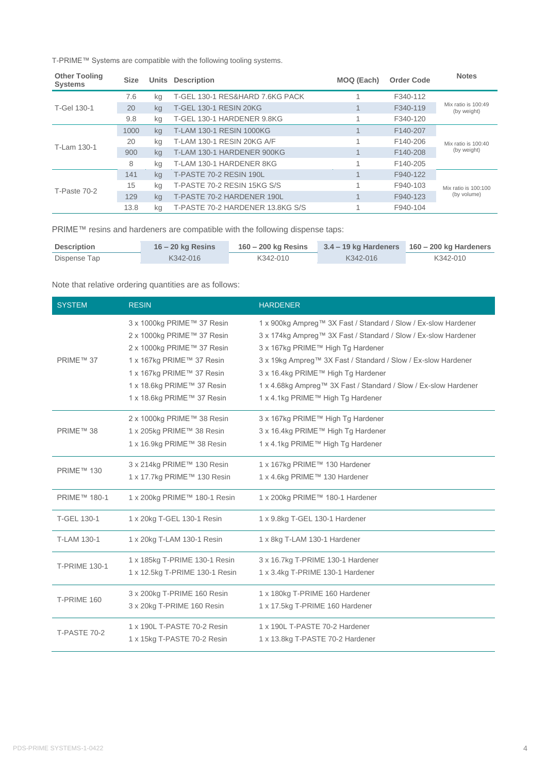T-PRIME™ Systems are compatible with the following tooling systems.

| <b>Other Tooling</b><br><b>Systems</b> | <b>Size</b> |    | <b>Units Description</b>         | MOQ (Each) | <b>Order Code</b> | <b>Notes</b>                       |  |
|----------------------------------------|-------------|----|----------------------------------|------------|-------------------|------------------------------------|--|
| T-Gel 130-1                            | 7.6         | kg | T-GEL 130-1 RES&HARD 7.6KG PACK  |            | F340-112          |                                    |  |
|                                        | 20          | ka | <b>T-GEL 130-1 RESIN 20KG</b>    |            | F340-119          | Mix ratio is 100:49<br>(by weight) |  |
|                                        | 9.8         | kg | T-GEL 130-1 HARDENER 9.8KG       |            | F340-120          |                                    |  |
| T-Lam 130-1                            | 1000        | kg | T-LAM 130-1 RESIN 1000KG         |            | F140-207          | Mix ratio is 100:40                |  |
|                                        | 20          | ka | T-LAM 130-1 RESIN 20KG A/F       |            | F140-206          |                                    |  |
|                                        | 900         | ka | T-LAM 130-1 HARDENER 900KG       |            | F140-208          | (by weight)                        |  |
|                                        | 8           | ka | T-LAM 130-1 HARDENER 8KG         |            | F140-205          |                                    |  |
| T-Paste 70-2                           | 141         | kg | T-PASTE 70-2 RESIN 190L          |            | F940-122          | Mix ratio is 100:100               |  |
|                                        | 15          | ka | T-PASTE 70-2 RESIN 15KG S/S      |            | F940-103          |                                    |  |
|                                        | 129         | ka | T-PASTE 70-2 HARDENER 190L       |            | F940-123          | (by volume)                        |  |
|                                        | 13.8        | ka | T-PASTE 70-2 HARDENER 13.8KG S/S |            | F940-104          |                                    |  |

PRIME™ resins and hardeners are compatible with the following dispense taps:

| <b>Description</b> | $16 - 20$ kg Resins | $160 - 200$ kg Resins |          | $3.4 - 19$ kg Hardeners $160 - 200$ kg Hardeners |
|--------------------|---------------------|-----------------------|----------|--------------------------------------------------|
| Dispense Tap       | K342-016            | K342-010              | K342-016 | K342-010                                         |

Note that relative ordering quantities are as follows:

| <b>SYSTEM</b>        | <b>RESIN</b>                                                                                                                                                                                                 | <b>HARDENER</b>                                                                                                                                                                                                                                                                                                                                                                      |
|----------------------|--------------------------------------------------------------------------------------------------------------------------------------------------------------------------------------------------------------|--------------------------------------------------------------------------------------------------------------------------------------------------------------------------------------------------------------------------------------------------------------------------------------------------------------------------------------------------------------------------------------|
| PRIME™ 37            | 3 x 1000kg PRIME™ 37 Resin<br>2 x 1000kg PRIME™ 37 Resin<br>2 x 1000kg PRIME™ 37 Resin<br>1 x 167kg PRIME™ 37 Resin<br>1 x 167kg PRIME™ 37 Resin<br>1 x 18.6kg PRIME™ 37 Resin<br>1 x 18.6kg PRIME™ 37 Resin | 1 x 900kg Ampreg™ 3X Fast / Standard / Slow / Ex-slow Hardener<br>3 x 174kg Ampreg™ 3X Fast / Standard / Slow / Ex-slow Hardener<br>3 x 167kg PRIME™ High Tg Hardener<br>3 x 19kg Ampreg™ 3X Fast / Standard / Slow / Ex-slow Hardener<br>3 x 16.4kg PRIME™ High Tg Hardener<br>1 x 4.68kg Ampreg™ 3X Fast / Standard / Slow / Ex-slow Hardener<br>1 x 4.1kg PRIME™ High Tg Hardener |
| PRIME™ 38            | 2 x 1000kg PRIME™ 38 Resin<br>1 x 205kg PRIME™ 38 Resin<br>1 x 16.9kg PRIME™ 38 Resin                                                                                                                        | 3 x 167kg PRIME™ High Tg Hardener<br>3 x 16.4kg PRIME™ High Tg Hardener<br>1 x 4.1kg PRIME™ High Tg Hardener                                                                                                                                                                                                                                                                         |
| PRIME™ 130           | 3 x 214kg PRIME™ 130 Resin<br>1 x 17.7kg PRIME™ 130 Resin                                                                                                                                                    | 1 x 167kg PRIME™ 130 Hardener<br>1 x 4.6kg PRIME™ 130 Hardener                                                                                                                                                                                                                                                                                                                       |
| PRIME™ 180-1         | 1 x 200kg PRIME™ 180-1 Resin                                                                                                                                                                                 | 1 x 200kg PRIME™ 180-1 Hardener                                                                                                                                                                                                                                                                                                                                                      |
| T-GEL 130-1          | 1 x 20kg T-GEL 130-1 Resin                                                                                                                                                                                   | 1 x 9.8kg T-GEL 130-1 Hardener                                                                                                                                                                                                                                                                                                                                                       |
| T-LAM 130-1          | 1 x 20kg T-LAM 130-1 Resin                                                                                                                                                                                   | 1 x 8kg T-LAM 130-1 Hardener                                                                                                                                                                                                                                                                                                                                                         |
| <b>T-PRIME 130-1</b> | 1 x 185kg T-PRIME 130-1 Resin<br>1 x 12.5kg T-PRIME 130-1 Resin                                                                                                                                              | 3 x 16.7kg T-PRIME 130-1 Hardener<br>1 x 3.4kg T-PRIME 130-1 Hardener                                                                                                                                                                                                                                                                                                                |
| T-PRIME 160          | 3 x 200kg T-PRIME 160 Resin<br>3 x 20kg T-PRIME 160 Resin                                                                                                                                                    | 1 x 180kg T-PRIME 160 Hardener<br>1 x 17.5kg T-PRIME 160 Hardener                                                                                                                                                                                                                                                                                                                    |
| T-PASTE 70-2         | 1 x 190L T-PASTE 70-2 Resin<br>1 x 15kg T-PASTE 70-2 Resin                                                                                                                                                   | 1 x 190L T-PASTE 70-2 Hardener<br>1 x 13.8kg T-PASTE 70-2 Hardener                                                                                                                                                                                                                                                                                                                   |